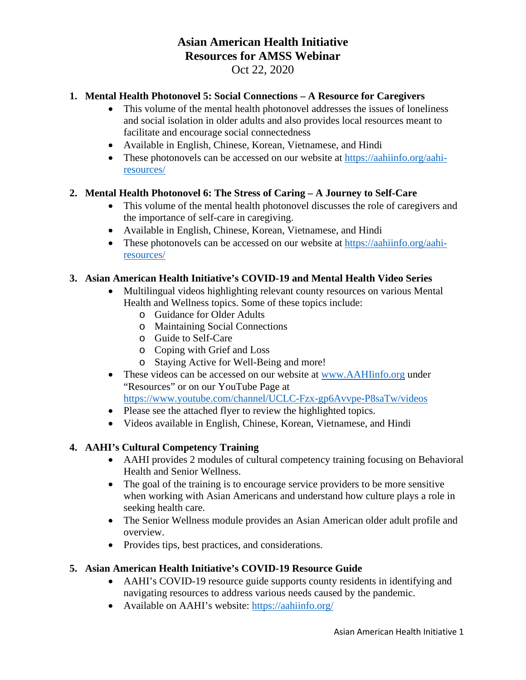# **Asian American Health Initiative Resources for AMSS Webinar** Oct 22, 2020

### **1. Mental Health Photonovel 5: Social Connections – A Resource for Caregivers**

- This volume of the mental health photonovel addresses the issues of loneliness and social isolation in older adults and also provides local resources meant to facilitate and encourage social connectedness
- Available in English, Chinese, Korean, Vietnamese, and Hindi
- These photonovels can be accessed on our website at [https://aahiinfo.org/aahi](https://aahiinfo.org/aahi-resources/)[resources/](https://aahiinfo.org/aahi-resources/)

#### **2. Mental Health Photonovel 6: The Stress of Caring – A Journey to Self-Care**

- This volume of the mental health photonovel discusses the role of caregivers and the importance of self-care in caregiving.
- Available in English, Chinese, Korean, Vietnamese, and Hindi
- These photonovels can be accessed on our website at [https://aahiinfo.org/aahi](https://aahiinfo.org/aahi-resources/)[resources/](https://aahiinfo.org/aahi-resources/)

#### **3. Asian American Health Initiative's COVID-19 and Mental Health Video Series**

- Multilingual videos highlighting relevant county resources on various Mental Health and Wellness topics. Some of these topics include:
	- o Guidance for Older Adults
	- o Maintaining Social Connections
	- o Guide to Self-Care
	- o Coping with Grief and Loss
	- o Staying Active for Well-Being and more!
- These videos can be accessed on our website at [www.AAHIinfo.org](http://www.aahiinfo.org/) under "Resources" or on our YouTube Page at <https://www.youtube.com/channel/UCLC-Fzx-gp6Avvpe-P8saTw/videos>
- Please see the attached flyer to review the highlighted topics.
- Videos available in English, Chinese, Korean, Vietnamese, and Hindi

## **4. AAHI's Cultural Competency Training**

- AAHI provides 2 modules of cultural competency training focusing on Behavioral Health and Senior Wellness.
- The goal of the training is to encourage service providers to be more sensitive when working with Asian Americans and understand how culture plays a role in seeking health care.
- The Senior Wellness module provides an Asian American older adult profile and overview.
- Provides tips, best practices, and considerations.

#### **5. Asian American Health Initiative's COVID-19 Resource Guide**

- AAHI's COVID-19 resource guide supports county residents in identifying and navigating resources to address various needs caused by the pandemic.
- Available on AAHI's website: [https://aahiinfo.org/](https://aahiinfo.org/?fbclid=IwAR2LgqP4ly-XLnsRNOPToHtHCSdCRodbXR8074bPoZb4B4U4xaIDksbq94E)